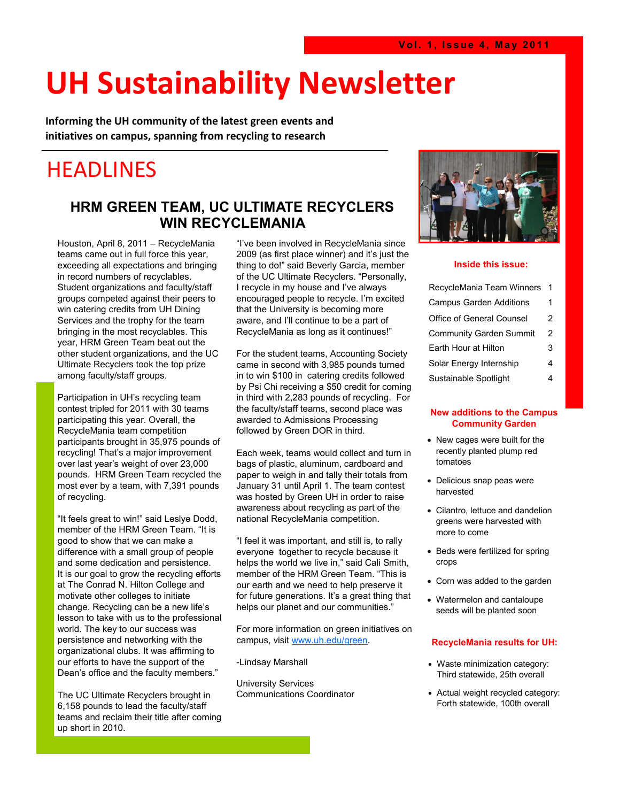# **UH Sustainability Newsletter**

**Informing the UH community of the latest green events and initiatives on campus, spanning from recycling to research** 

## HEADLINES

#### **HRM GREEN TEAM, UC ULTIMATE RECYCLERS WIN RECYCLEMANIA**

Houston, April 8, 2011 – RecycleMania teams came out in full force this year, exceeding all expectations and bringing in record numbers of recyclables. Student organizations and faculty/staff groups competed against their peers to win catering credits from UH Dining Services and the trophy for the team bringing in the most recyclables. This year, HRM Green Team beat out the other student organizations, and the UC Ultimate Recyclers took the top prize among faculty/staff groups.

Participation in UH"s recycling team contest tripled for 2011 with 30 teams participating this year. Overall, the RecycleMania team competition participants brought in 35,975 pounds of recycling! That's a major improvement over last year"s weight of over 23,000 pounds. HRM Green Team recycled the most ever by a team, with 7,391 pounds of recycling.

"It feels great to win!" said Leslye Dodd, member of the HRM Green Team. "It is good to show that we can make a difference with a small group of people and some dedication and persistence. It is our goal to grow the recycling efforts at The Conrad N. Hilton College and motivate other colleges to initiate change. Recycling can be a new life"s lesson to take with us to the professional world. The key to our success was persistence and networking with the organizational clubs. It was affirming to our efforts to have the support of the Dean"s office and the faculty members."

The UC Ultimate Recyclers brought in 6,158 pounds to lead the faculty/staff teams and reclaim their title after coming up short in 2010.

"I"ve been involved in RecycleMania since 2009 (as first place winner) and it"s just the thing to do!" said Beverly Garcia, member of the UC Ultimate Recyclers. "Personally, I recycle in my house and I"ve always encouraged people to recycle. I"m excited that the University is becoming more aware, and I"ll continue to be a part of RecycleMania as long as it continues!"

For the student teams, Accounting Society came in second with 3,985 pounds turned in to win \$100 in catering credits followed by Psi Chi receiving a \$50 credit for coming in third with 2,283 pounds of recycling. For the faculty/staff teams, second place was awarded to Admissions Processing followed by Green DOR in third.

Each week, teams would collect and turn in bags of plastic, aluminum, cardboard and paper to weigh in and tally their totals from January 31 until April 1. The team contest was hosted by Green UH in order to raise awareness about recycling as part of the national RecycleMania competition.

"I feel it was important, and still is, to rally everyone together to recycle because it helps the world we live in," said Cali Smith, member of the HRM Green Team. "This is our earth and we need to help preserve it for future generations. It's a great thing that helps our planet and our communities."

For more information on green initiatives on campus, visit [www.uh.edu/green.](http://www.uh.edu/green)

-Lindsay Marshall

University Services Communications Coordinator



#### **Inside this issue:**

| RecycleMania Team Winners      | 1 |
|--------------------------------|---|
| <b>Campus Garden Additions</b> | 1 |
| Office of General Counsel      | 2 |
| <b>Community Garden Summit</b> | 2 |
| Earth Hour at Hilton           | 3 |
| Solar Energy Internship        | 4 |
| Sustainable Spotlight          | 4 |

#### **New additions to the Campus Community Garden**

- New cages were built for the recently planted plump red tomatoes
- Delicious snap peas were harvested
- Cilantro, lettuce and dandelion greens were harvested with more to come
- Beds were fertilized for spring crops
- Corn was added to the garden
- Watermelon and cantaloupe seeds will be planted soon

#### **RecycleMania results for UH:**

- Waste minimization category: Third statewide, 25th overall
- Actual weight recycled category: Forth statewide, 100th overall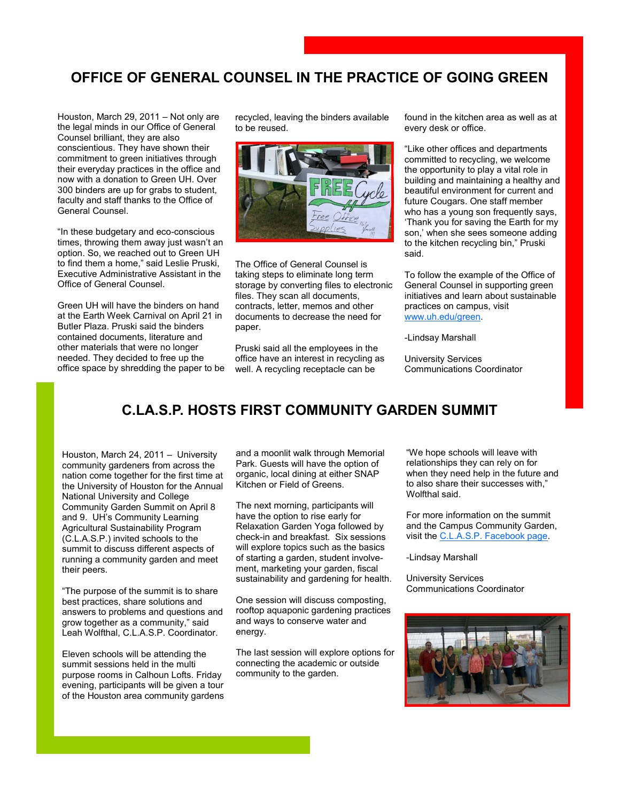#### **OFFICE OF GENERAL COUNSEL IN THE PRACTICE OF GOING GREEN**

Houston, March 29, 2011 – Not only are the legal minds in our Office of General Counsel brilliant, they are also conscientious. They have shown their commitment to green initiatives through their everyday practices in the office and now with a donation to Green UH. Over 300 binders are up for grabs to student, faculty and staff thanks to the Office of General Counsel.

"In these budgetary and eco-conscious times, throwing them away just wasn't an option. So, we reached out to Green UH to find them a home," said Leslie Pruski, Executive Administrative Assistant in the Office of General Counsel.

Green UH will have the binders on hand at the Earth Week Carnival on April 21 in Butler Plaza. Pruski said the binders contained documents, literature and other materials that were no longer needed. They decided to free up the office space by shredding the paper to be

recycled, leaving the binders available to be reused.



The Office of General Counsel is taking steps to eliminate long term storage by converting files to electronic files. They scan all documents, contracts, letter, memos and other documents to decrease the need for paper.

Pruski said all the employees in the office have an interest in recycling as well. A recycling receptacle can be

found in the kitchen area as well as at every desk or office.

"Like other offices and departments committed to recycling, we welcome the opportunity to play a vital role in building and maintaining a healthy and beautiful environment for current and future Cougars. One staff member who has a young son frequently says, "Thank you for saving the Earth for my son," when she sees someone adding to the kitchen recycling bin," Pruski said.

To follow the example of the Office of General Counsel in supporting green initiatives and learn about sustainable practices on campus, visit [www.uh.edu/green.](http://www.uh.edu/green)

-Lindsay Marshall

University Services Communications Coordinator

#### **C.LA.S.P. HOSTS FIRST COMMUNITY GARDEN SUMMIT**

Houston, March 24, 2011 – University community gardeners from across the nation come together for the first time at the University of Houston for the Annual National University and College Community Garden Summit on April 8 and 9. UH"s Community Learning Agricultural Sustainability Program (C.L.A.S.P.) invited schools to the summit to discuss different aspects of running a community garden and meet their peers.

"The purpose of the summit is to share best practices, share solutions and answers to problems and questions and grow together as a community," said Leah Wolfthal, C.L.A.S.P. Coordinator.

Eleven schools will be attending the summit sessions held in the multi purpose rooms in Calhoun Lofts. Friday evening, participants will be given a tour of the Houston area community gardens and a moonlit walk through Memorial Park. Guests will have the option of organic, local dining at either SNAP Kitchen or Field of Greens.

The next morning, participants will have the option to rise early for Relaxation Garden Yoga followed by check-in and breakfast. Six sessions will explore topics such as the basics of starting a garden, student involvement, marketing your garden, fiscal sustainability and gardening for health.

One session will discuss composting, rooftop aquaponic gardening practices and ways to conserve water and energy.

The last session will explore options for connecting the academic or outside community to the garden.

"We hope schools will leave with relationships they can rely on for when they need help in the future and to also share their successes with," Wolfthal said.

For more information on the summit and the Campus Community Garden, visit the [C.L.A.S.P. Facebook page.](http://www.facebook.com/pages/Campus-Community-Garden/160638127118)

-Lindsay Marshall

University Services Communications Coordinator

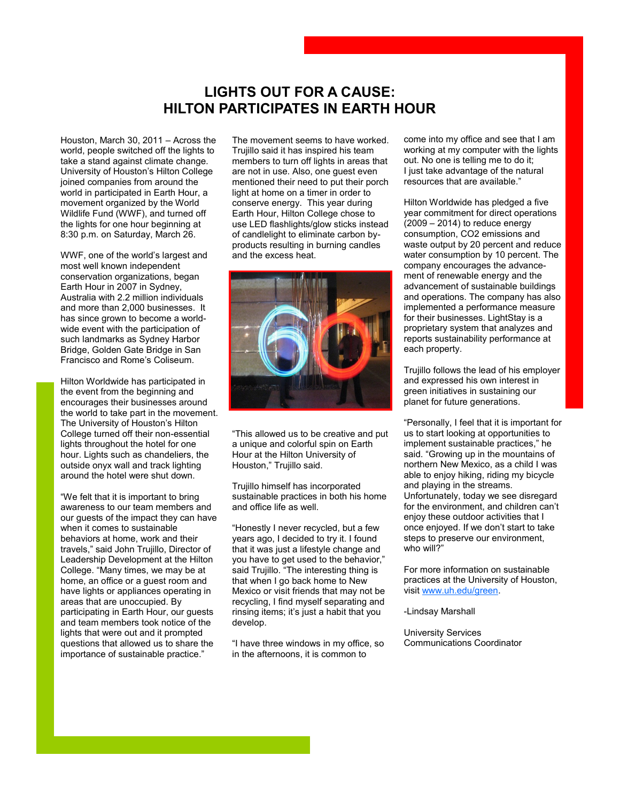#### **LIGHTS OUT FOR A CAUSE: HILTON PARTICIPATES IN EARTH HOUR**

Houston, March 30, 2011 – Across the world, people switched off the lights to take a stand against climate change. University of Houston"s Hilton College joined companies from around the world in participated in Earth Hour, a movement organized by the World Wildlife Fund (WWF), and turned off the lights for one hour beginning at 8:30 p.m. on Saturday, March 26.

WWF, one of the world"s largest and most well known independent conservation organizations, began Earth Hour in 2007 in Sydney, Australia with 2.2 million individuals and more than 2,000 businesses. It has since grown to become a worldwide event with the participation of such landmarks as Sydney Harbor Bridge, Golden Gate Bridge in San Francisco and Rome"s Coliseum.

Hilton Worldwide has participated in the event from the beginning and encourages their businesses around the world to take part in the movement. The University of Houston"s Hilton College turned off their non-essential lights throughout the hotel for one hour. Lights such as chandeliers, the outside onyx wall and track lighting around the hotel were shut down.

"We felt that it is important to bring awareness to our team members and our guests of the impact they can have when it comes to sustainable behaviors at home, work and their travels," said John Trujillo, Director of Leadership Development at the Hilton College. "Many times, we may be at home, an office or a guest room and have lights or appliances operating in areas that are unoccupied. By participating in Earth Hour, our guests and team members took notice of the lights that were out and it prompted questions that allowed us to share the importance of sustainable practice."

The movement seems to have worked. Trujillo said it has inspired his team members to turn off lights in areas that are not in use. Also, one guest even mentioned their need to put their porch light at home on a timer in order to conserve energy. This year during Earth Hour, Hilton College chose to use LED flashlights/glow sticks instead of candlelight to eliminate carbon byproducts resulting in burning candles and the excess heat.



"This allowed us to be creative and put a unique and colorful spin on Earth Hour at the Hilton University of Houston," Trujillo said.

Trujillo himself has incorporated sustainable practices in both his home and office life as well.

"Honestly I never recycled, but a few years ago, I decided to try it. I found that it was just a lifestyle change and you have to get used to the behavior," said Trujillo. "The interesting thing is that when I go back home to New Mexico or visit friends that may not be recycling, I find myself separating and rinsing items; it's just a habit that you develop.

"I have three windows in my office, so in the afternoons, it is common to

come into my office and see that I am working at my computer with the lights out. No one is telling me to do it; I just take advantage of the natural resources that are available."

Hilton Worldwide has pledged a five year commitment for direct operations  $(2009 - 2014)$  to reduce energy consumption, CO2 emissions and waste output by 20 percent and reduce water consumption by 10 percent. The company encourages the advancement of renewable energy and the advancement of sustainable buildings and operations. The company has also implemented a performance measure for their businesses. LightStay is a proprietary system that analyzes and reports sustainability performance at each property.

Trujillo follows the lead of his employer and expressed his own interest in green initiatives in sustaining our planet for future generations.

"Personally, I feel that it is important for us to start looking at opportunities to implement sustainable practices," he said. "Growing up in the mountains of northern New Mexico, as a child I was able to enjoy hiking, riding my bicycle and playing in the streams. Unfortunately, today we see disregard for the environment, and children can"t enjoy these outdoor activities that I once enjoyed. If we don"t start to take steps to preserve our environment, who will?"

For more information on sustainable practices at the University of Houston, visit [www.uh.edu/green.](http://www.uh.edu/green)

-Lindsay Marshall

University Services Communications Coordinator